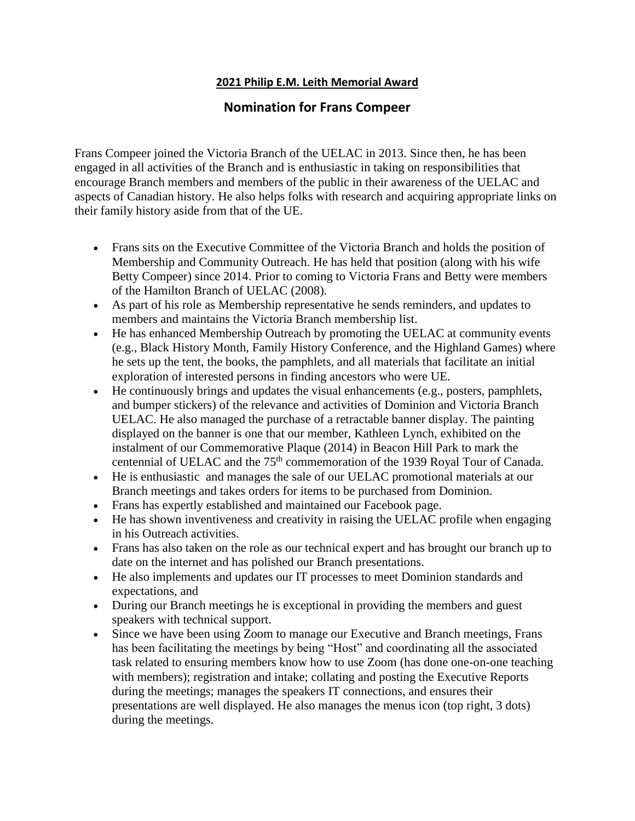#### **2021 Philip E.M. Leith Memorial Award**

# **Nomination for Frans Compeer**

Frans Compeer joined the Victoria Branch of the UELAC in 2013. Since then, he has been engaged in all activities of the Branch and is enthusiastic in taking on responsibilities that encourage Branch members and members of the public in their awareness of the UELAC and aspects of Canadian history. He also helps folks with research and acquiring appropriate links on their family history aside from that of the UE.

- Frans sits on the Executive Committee of the Victoria Branch and holds the position of Membership and Community Outreach. He has held that position (along with his wife Betty Compeer) since 2014. Prior to coming to Victoria Frans and Betty were members of the Hamilton Branch of UELAC (2008).
- As part of his role as Membership representative he sends reminders, and updates to members and maintains the Victoria Branch membership list.
- He has enhanced Membership Outreach by promoting the UELAC at community events (e.g., Black History Month, Family History Conference, and the Highland Games) where he sets up the tent, the books, the pamphlets, and all materials that facilitate an initial exploration of interested persons in finding ancestors who were UE.
- He continuously brings and updates the visual enhancements (e.g., posters, pamphlets, and bumper stickers) of the relevance and activities of Dominion and Victoria Branch UELAC. He also managed the purchase of a retractable banner display. The painting displayed on the banner is one that our member, Kathleen Lynch, exhibited on the instalment of our Commemorative Plaque (2014) in Beacon Hill Park to mark the centennial of UELAC and the 75<sup>th</sup> commemoration of the 1939 Royal Tour of Canada.
- He is enthusiastic and manages the sale of our UELAC promotional materials at our Branch meetings and takes orders for items to be purchased from Dominion.
- Frans has expertly established and maintained our Facebook page.
- He has shown inventiveness and creativity in raising the UELAC profile when engaging in his Outreach activities.
- Frans has also taken on the role as our technical expert and has brought our branch up to date on the internet and has polished our Branch presentations.
- He also implements and updates our IT processes to meet Dominion standards and expectations, and
- During our Branch meetings he is exceptional in providing the members and guest speakers with technical support.
- Since we have been using Zoom to manage our Executive and Branch meetings, Frans has been facilitating the meetings by being "Host" and coordinating all the associated task related to ensuring members know how to use Zoom (has done one-on-one teaching with members); registration and intake; collating and posting the Executive Reports during the meetings; manages the speakers IT connections, and ensures their presentations are well displayed. He also manages the menus icon (top right, 3 dots) during the meetings.